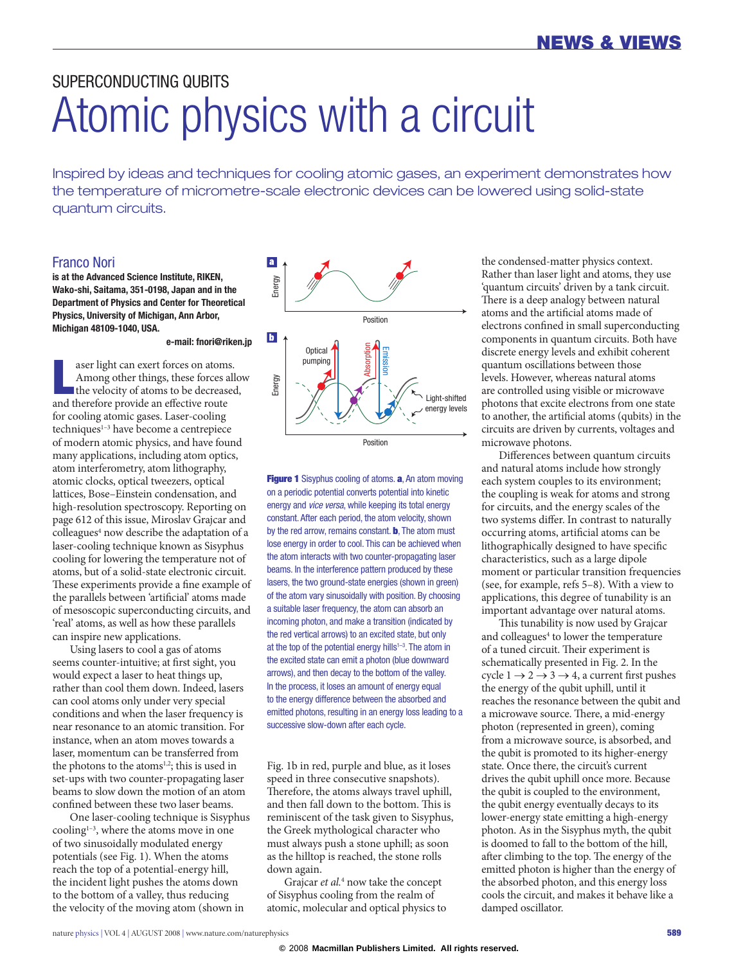# SUPERCONDUCTING QUBITS Atomic physics with a circuit

Inspired by ideas and techniques for cooling atomic gases, an experiment demonstrates how the temperature of micrometre-scale electronic devices can be lowered using solid-state quantum circuits.

## Franco Nori

**is at the Advanced Science Institute, RIKEN, Wako-shi, Saitama, 351-0198, Japan and in the Department of Physics and Center for Theoretical Physics, University of Michigan, Ann Arbor, Michigan 48109-1040, USA.**

#### **e-mail: [fnori@riken.jp](mailto:fnori@riken.jp)**

aser light can exert forces on atoms.<br>Among other things, these forces a<br>the velocity of atoms to be decrease<br>and therefore provide an effective route aser light can exert forces on atoms. Among other things, these forces allow the velocity of atoms to be decreased, for cooling atomic gases. Laser-cooling  $techniques<sup>1-3</sup> have become a centrepiece$ of modern atomic physics, and have found many applications, including atom optics, atom interferometry, atom lithography, atomic clocks, optical tweezers, optical lattices, Bose–Einstein condensation, and high-resolution spectroscopy. Reporting on page 612 of this issue, Miroslav Grajcar and colleagues<sup>4</sup> now describe the adaptation of a laser-cooling technique known as Sisyphus cooling for lowering the temperature not of atoms, but of a solid-state electronic circuit. These experiments provide a fine example of the parallels between 'artificial' atoms made of mesoscopic superconducting circuits, and 'real' atoms, as well as how these parallels can inspire new applications.

Using lasers to cool a gas of atoms seems counter-intuitive; at first sight, you would expect a laser to heat things up, rather than cool them down. Indeed, lasers can cool atoms only under very special conditions and when the laser frequency is near resonance to an atomic transition. For instance, when an atom moves towards a laser, momentum can be transferred from the photons to the atoms<sup>1,2</sup>; this is used in set-ups with two counter-propagating laser beams to slow down the motion of an atom confined between these two laser beams.

One laser-cooling technique is Sisyphus cooling<sup>1-3</sup>, where the atoms move in one of two sinusoidally modulated energy potentials (see Fig. 1). When the atoms reach the top of a potential-energy hill, the incident light pushes the atoms down to the bottom of a valley, thus reducing the velocity of the moving atom (shown in



Figure 1 Sisyphus cooling of atoms. a, An atom moving on a periodic potential converts potential into kinetic energy and *vice versa*, while keeping its total energy constant. After each period, the atom velocity, shown by the red arrow, remains constant. **b**, The atom must lose energy in order to cool. This can be achieved when the atom interacts with two counter-propagating laser beams. In the interference pattern produced by these lasers, the two ground-state energies (shown in green) of the atom vary sinusoidally with position. By choosing a suitable laser frequency, the atom can absorb an incoming photon, and make a transition (indicated by the red vertical arrows) to an excited state, but only at the top of the potential energy hills<sup>1-3</sup>. The atom in the excited state can emit a photon (blue downward arrows), and then decay to the bottom of the valley. In the process, it loses an amount of energy equal to the energy difference between the absorbed and emitted photons, resulting in an energy loss leading to a successive slow-down after each cycle.

Fig. 1b in red, purple and blue, as it loses speed in three consecutive snapshots). Therefore, the atoms always travel uphill, and then fall down to the bottom. This is reminiscent of the task given to Sisyphus, the Greek mythological character who must always push a stone uphill; as soon as the hilltop is reached, the stone rolls down again.

Grajcar *et al.*<sup>4</sup> now take the concept of Sisyphus cooling from the realm of atomic, molecular and optical physics to the condensed-matter physics context. Rather than laser light and atoms, they use 'quantum circuits' driven by a tank circuit. There is a deep analogy between natural atoms and the artificial atoms made of electrons confined in small superconducting components in quantum circuits. Both have discrete energy levels and exhibit coherent quantum oscillations between those levels. However, whereas natural atoms are controlled using visible or microwave photons that excite electrons from one state to another, the artificial atoms (qubits) in the circuits are driven by currents, voltages and microwave photons.

Differences between quantum circuits and natural atoms include how strongly each system couples to its environment; the coupling is weak for atoms and strong for circuits, and the energy scales of the two systems differ. In contrast to naturally occurring atoms, artificial atoms can be lithographically designed to have specific characteristics, such as a large dipole moment or particular transition frequencies (see, for example, refs 5–8). With a view to applications, this degree of tunability is an important advantage over natural atoms.

This tunability is now used by Grajcar and colleagues<sup>4</sup> to lower the temperature of a tuned circuit. Their experiment is schematically presented in Fig. 2. In the cycle  $1 \rightarrow 2 \rightarrow 3 \rightarrow 4$ , a current first pushes the energy of the qubit uphill, until it reaches the resonance between the qubit and a microwave source. There, a mid-energy photon (represented in green), coming from a microwave source, is absorbed, and the qubit is promoted to its higher-energy state. Once there, the circuit's current drives the qubit uphill once more. Because the qubit is coupled to the environment, the qubit energy eventually decays to its lower-energy state emitting a high-energy photon. As in the Sisyphus myth, the qubit is doomed to fall to the bottom of the hill, after climbing to the top. The energy of the emitted photon is higher than the energy of the absorbed photon, and this energy loss cools the circuit, and makes it behave like a damped oscillator.